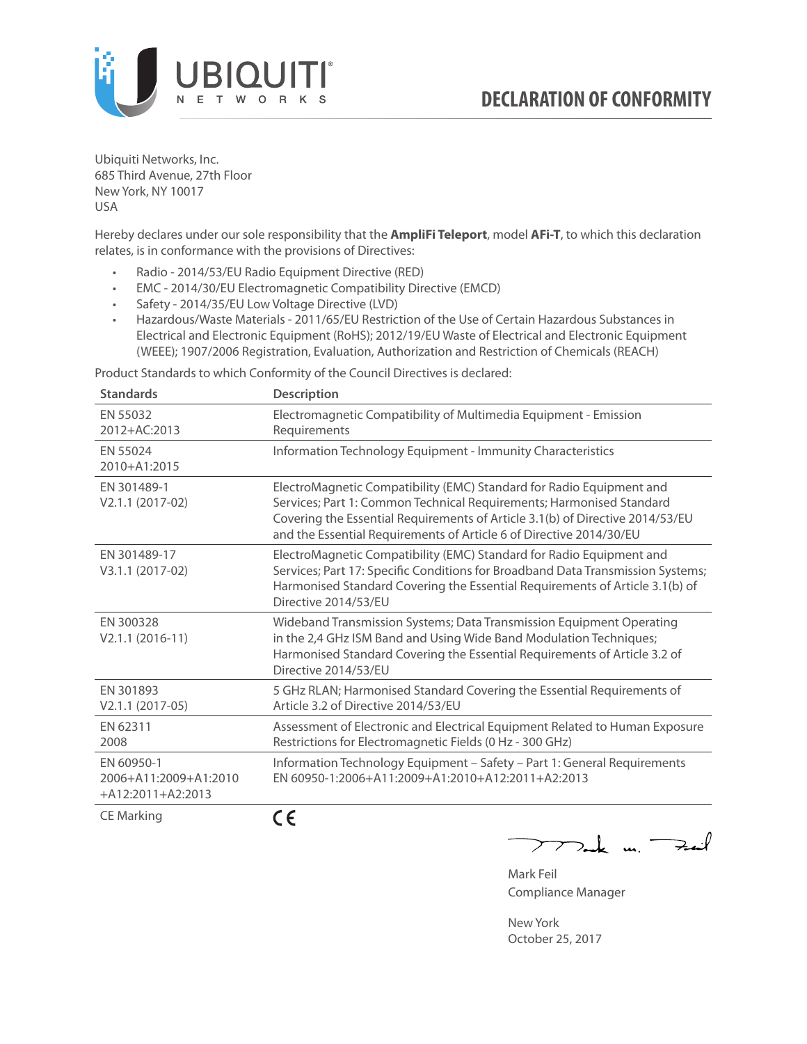

Ubiquiti Networks, Inc. 685 Third Avenue, 27th Floor New York, NY 10017 USA

Hereby declares under our sole responsibility that the **AmpliFi Teleport**, model **AFi-T**, to which this declaration relates, is in conformance with the provisions of Directives:

- Radio 2014/53/EU Radio Equipment Directive (RED)
- EMC 2014/30/EU Electromagnetic Compatibility Directive (EMCD)
- Safety 2014/35/EU Low Voltage Directive (LVD)
- Hazardous/Waste Materials 2011/65/EU Restriction of the Use of Certain Hazardous Substances in Electrical and Electronic Equipment (RoHS); 2012/19/EU Waste of Electrical and Electronic Equipment (WEEE); 1907/2006 Registration, Evaluation, Authorization and Restriction of Chemicals (REACH)

Product Standards to which Conformity of the Council Directives is declared:

| <b>Standards</b>                                           | <b>Description</b>                                                                                                                                                                                                                                                                                   |
|------------------------------------------------------------|------------------------------------------------------------------------------------------------------------------------------------------------------------------------------------------------------------------------------------------------------------------------------------------------------|
| EN 55032<br>2012+AC:2013                                   | Electromagnetic Compatibility of Multimedia Equipment - Emission<br>Requirements                                                                                                                                                                                                                     |
| EN 55024<br>2010+A1:2015                                   | Information Technology Equipment - Immunity Characteristics                                                                                                                                                                                                                                          |
| EN 301489-1<br>V2.1.1 (2017-02)                            | ElectroMagnetic Compatibility (EMC) Standard for Radio Equipment and<br>Services; Part 1: Common Technical Requirements; Harmonised Standard<br>Covering the Essential Requirements of Article 3.1(b) of Directive 2014/53/EU<br>and the Essential Requirements of Article 6 of Directive 2014/30/EU |
| EN 301489-17<br>V3.1.1 (2017-02)                           | ElectroMagnetic Compatibility (EMC) Standard for Radio Equipment and<br>Services; Part 17: Specific Conditions for Broadband Data Transmission Systems;<br>Harmonised Standard Covering the Essential Requirements of Article 3.1(b) of<br>Directive 2014/53/EU                                      |
| EN 300328<br>$V2.1.1 (2016-11)$                            | Wideband Transmission Systems; Data Transmission Equipment Operating<br>in the 2,4 GHz ISM Band and Using Wide Band Modulation Techniques;<br>Harmonised Standard Covering the Essential Requirements of Article 3.2 of<br>Directive 2014/53/EU                                                      |
| EN 301893<br>$V2.1.1 (2017-05)$                            | 5 GHz RLAN; Harmonised Standard Covering the Essential Requirements of<br>Article 3.2 of Directive 2014/53/EU                                                                                                                                                                                        |
| EN 62311<br>2008                                           | Assessment of Electronic and Electrical Equipment Related to Human Exposure<br>Restrictions for Electromagnetic Fields (0 Hz - 300 GHz)                                                                                                                                                              |
| EN 60950-1<br>2006+A11:2009+A1:2010<br>$+A12:2011+A2:2013$ | Information Technology Equipment - Safety - Part 1: General Requirements<br>EN 60950-1:2006+A11:2009+A1:2010+A12:2011+A2:2013                                                                                                                                                                        |
| $C \Gamma$ $M = 11$                                        | $\epsilon$                                                                                                                                                                                                                                                                                           |

CE Marking

CE

 $\nabla$ ak m.  $\rightarrow$  $\overline{\phantom{1}}$ 

Mark Feil Compliance Manager

New York October 25, 2017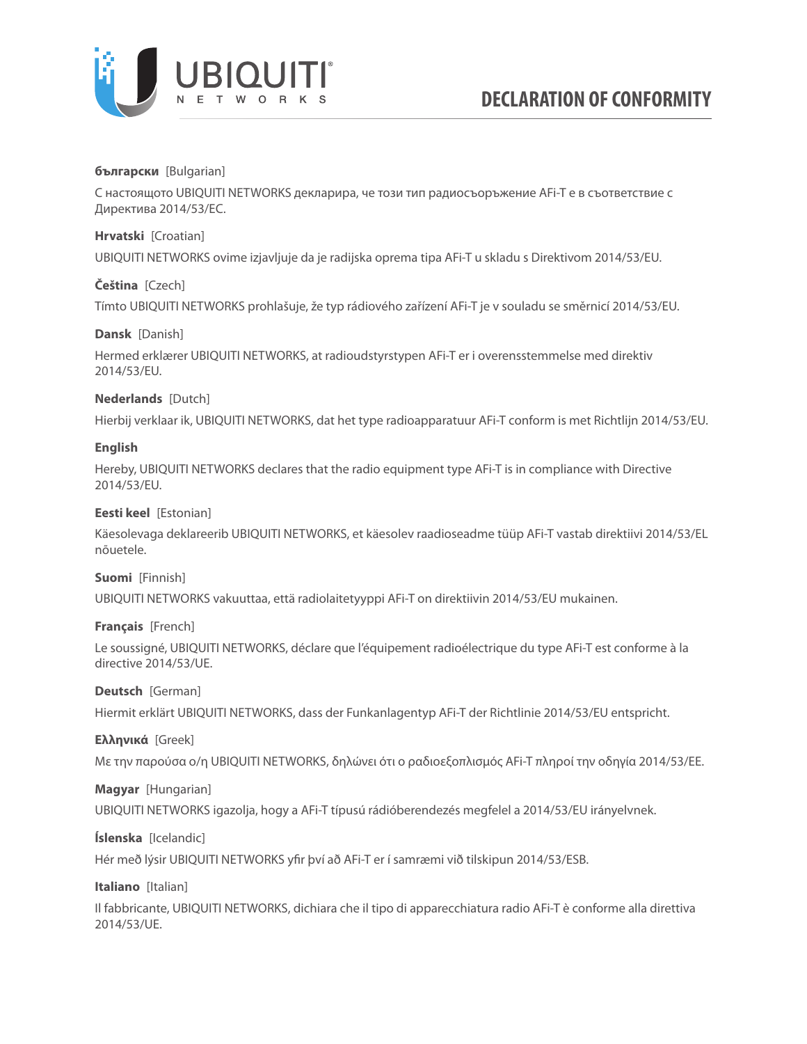

### **български** [Bulgarian]

С настоящото UBIQUITI NETWORKS декларира, че този тип радиосъоръжение AFi-T е в съответствие с Директива 2014/53/ЕС.

### **Hrvatski** [Croatian]

UBIQUITI NETWORKS ovime izjavljuje da je radijska oprema tipa AFi-T u skladu s Direktivom 2014/53/EU.

## **Čeština** [Czech]

Tímto UBIQUITI NETWORKS prohlašuje, že typ rádiového zařízení AFi-T je v souladu se směrnicí 2014/53/EU.

### **Dansk** [Danish]

Hermed erklærer UBIQUITI NETWORKS, at radioudstyrstypen AFi-T er i overensstemmelse med direktiv 2014/53/EU.

## **Nederlands** [Dutch]

Hierbij verklaar ik, UBIQUITI NETWORKS, dat het type radioapparatuur AFi-T conform is met Richtlijn 2014/53/EU.

## **English**

Hereby, UBIQUITI NETWORKS declares that the radio equipment type AFi-T is in compliance with Directive 2014/53/EU.

## **Eesti keel** [Estonian]

Käesolevaga deklareerib UBIQUITI NETWORKS, et käesolev raadioseadme tüüp AFi-T vastab direktiivi 2014/53/EL nõuetele.

### **Suomi** [Finnish]

UBIQUITI NETWORKS vakuuttaa, että radiolaitetyyppi AFi-T on direktiivin 2014/53/EU mukainen.

### **Français** [French]

Le soussigné, UBIQUITI NETWORKS, déclare que l'équipement radioélectrique du type AFi-T est conforme à la directive 2014/53/UE.

### **Deutsch** [German]

Hiermit erklärt UBIQUITI NETWORKS, dass der Funkanlagentyp AFi-T der Richtlinie 2014/53/EU entspricht.

### **Ελληνικά** [Greek]

Με την παρούσα ο/η UBIQUITI NETWORKS, δηλώνει ότι ο ραδιοεξοπλισμός AFi-T πληροί την οδηγία 2014/53/ΕΕ.

### **Magyar** [Hungarian]

UBIQUITI NETWORKS igazolja, hogy a AFi-T típusú rádióberendezés megfelel a 2014/53/EU irányelvnek.

# **Íslenska** [Icelandic]

Hér með lýsir UBIQUITI NETWORKS yfir því að AFi-T er í samræmi við tilskipun 2014/53/ESB.

### **Italiano** [Italian]

Il fabbricante, UBIQUITI NETWORKS, dichiara che il tipo di apparecchiatura radio AFi-T è conforme alla direttiva 2014/53/UE.